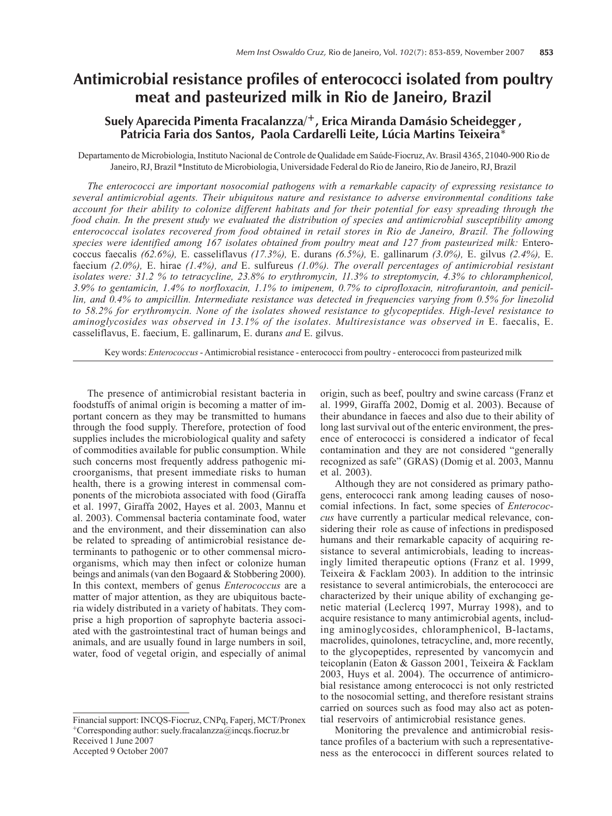# **Antimicrobial resistance profiles of enterococci isolated from poultry meat and pasteurized milk in Rio de Janeiro, Brazil**

# **Suely Aparecida Pimenta Fracalanzza/<sup>+</sup>, Erica Miranda Damásio Scheidegger,** Patricia Faria dos Santos, Paola Cardarelli Leite, Lúcia Martins Teixeira<sup>\*</sup>

Departamento de Microbiologia, Instituto Nacional de Controle de Qualidade em Saúde-Fiocruz, Av. Brasil 4365, 21040-900 Rio de Janeiro, RJ, Brazil \*Instituto de Microbiologia, Universidade Federal do Rio de Janeiro, Rio de Janeiro, RJ, Brazil

*The enterococci are important nosocomial pathogens with a remarkable capacity of expressing resistance to several antimicrobial agents. Their ubiquitous nature and resistance to adverse environmental conditions take account for their ability to colonize different habitats and for their potential for easy spreading through the food chain. In the present study we evaluated the distribution of species and antimicrobial susceptibility among enterococcal isolates recovered from food obtained in retail stores in Rio de Janeiro, Brazil. The following species were identified among 167 isolates obtained from poultry meat and 127 from pasteurized milk:* Enterococcus faecalis *(62.6%),* E. casseliflavus *(17.3%),* E. durans *(6.5%),* E. gallinarum *(3.0%),* E. gilvus *(2.4%),* E. faecium *(2.0%),* E. hirae *(1.4%), and* E. sulfureus *(1.0%). The overall percentages of antimicrobial resistant isolates were: 31.2 % to tetracycline, 23.8% to erythromycin, 11.3% to streptomycin, 4.3% to chloramphenicol, 3.9% to gentamicin, 1.4% to norfloxacin, 1.1% to imipenem, 0.7% to ciprofloxacin, nitrofurantoin, and penicillin, and 0.4% to ampicillin. Intermediate resistance was detected in frequencies varying from 0.5% for linezolid to 58.2% for erythromycin. None of the isolates showed resistance to glycopeptides. High-level resistance to aminoglycosides was observed in 13.1% of the isolates. Multiresistance was observed in* E. faecalis, E. casseliflavus, E. faecium, E. gallinarum, E. duran*s and* E. gilvus.

Key words: *Enterococcus* - Antimicrobial resistance - enterococci from poultry - enterococci from pasteurized milk

The presence of antimicrobial resistant bacteria in foodstuffs of animal origin is becoming a matter of important concern as they may be transmitted to humans through the food supply. Therefore, protection of food supplies includes the microbiological quality and safety of commodities available for public consumption. While such concerns most frequently address pathogenic microorganisms, that present immediate risks to human health, there is a growing interest in commensal components of the microbiota associated with food (Giraffa et al. 1997, Giraffa 2002, Hayes et al. 2003, Mannu et al. 2003). Commensal bacteria contaminate food, water and the environment, and their dissemination can also be related to spreading of antimicrobial resistance determinants to pathogenic or to other commensal microorganisms, which may then infect or colonize human beings and animals (van den Bogaard & Stobbering 2000). In this context, members of genus *Enterococcus* are a matter of major attention, as they are ubiquitous bacteria widely distributed in a variety of habitats. They comprise a high proportion of saprophyte bacteria associated with the gastrointestinal tract of human beings and animals, and are usually found in large numbers in soil, water, food of vegetal origin, and especially of animal

Accepted 9 October 2007

origin, such as beef, poultry and swine carcass (Franz et al. 1999, Giraffa 2002, Domig et al. 2003). Because of their abundance in faeces and also due to their ability of long last survival out of the enteric environment, the presence of enterococci is considered a indicator of fecal contamination and they are not considered "generally recognized as safe" (GRAS) (Domig et al. 2003, Mannu et al. 2003).

Although they are not considered as primary pathogens, enterococci rank among leading causes of nosocomial infections. In fact, some species of *Enterococcus* have currently a particular medical relevance, considering their role as cause of infections in predisposed humans and their remarkable capacity of acquiring resistance to several antimicrobials, leading to increasingly limited therapeutic options (Franz et al. 1999, Teixeira & Facklam 2003). In addition to the intrinsic resistance to several antimicrobials, the enterococci are characterized by their unique ability of exchanging genetic material (Leclercq 1997, Murray 1998), and to acquire resistance to many antimicrobial agents, including aminoglycosides, chloramphenicol, B-lactams, macrolides, quinolones, tetracycline, and, more recently, to the glycopeptides, represented by vancomycin and teicoplanin (Eaton & Gasson 2001, Teixeira & Facklam 2003, Huys et al. 2004). The occurrence of antimicrobial resistance among enterococci is not only restricted to the nosocomial setting, and therefore resistant strains carried on sources such as food may also act as potential reservoirs of antimicrobial resistance genes.

Monitoring the prevalence and antimicrobial resistance profiles of a bacterium with such a representativeness as the enterococci in different sources related to

Financial support: INCQS-Fiocruz, CNPq, Faperj, MCT/Pronex +Corresponding author: suely.fracalanzza@incqs.fiocruz.br Received 1 June 2007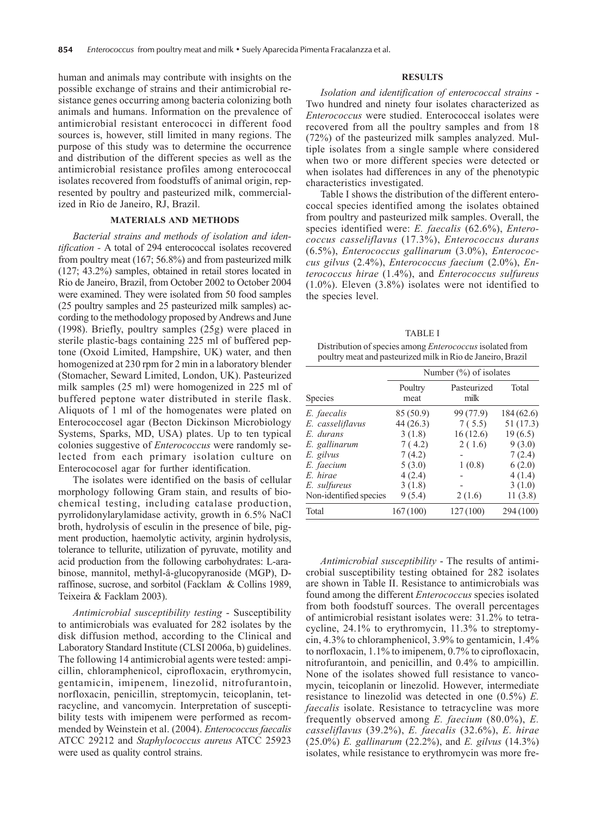human and animals may contribute with insights on the possible exchange of strains and their antimicrobial resistance genes occurring among bacteria colonizing both animals and humans. Information on the prevalence of antimicrobial resistant enterococci in different food sources is, however, still limited in many regions. The purpose of this study was to determine the occurrence and distribution of the different species as well as the antimicrobial resistance profiles among enterococcal isolates recovered from foodstuffs of animal origin, represented by poultry and pasteurized milk, commercialized in Rio de Janeiro, RJ, Brazil.

### **MATERIALS AND METHODS**

*Bacterial strains and methods of isolation and identification -* A total of 294 enterococcal isolates recovered from poultry meat (167; 56.8%) and from pasteurized milk (127; 43.2%) samples, obtained in retail stores located in Rio de Janeiro, Brazil, from October 2002 to October 2004 were examined. They were isolated from 50 food samples (25 poultry samples and 25 pasteurized milk samples) according to the methodology proposed by Andrews and June (1998). Briefly, poultry samples (25g) were placed in sterile plastic-bags containing 225 ml of buffered peptone (Oxoid Limited, Hampshire, UK) water, and then homogenized at 230 rpm for 2 min in a laboratory blender (Stomacher, Seward Limited, London, UK). Pasteurized milk samples (25 ml) were homogenized in 225 ml of buffered peptone water distributed in sterile flask. Aliquots of 1 ml of the homogenates were plated on Enterococcosel agar (Becton Dickinson Microbiology Systems, Sparks, MD, USA) plates. Up to ten typical colonies suggestive of *Enterococcus* were randomly selected from each primary isolation culture on Enterococosel agar for further identification.

The isolates were identified on the basis of cellular morphology following Gram stain, and results of biochemical testing, including catalase production, pyrrolidonylarylamidase activity, growth in 6.5% NaCl broth, hydrolysis of esculin in the presence of bile, pigment production, haemolytic activity, arginin hydrolysis, tolerance to tellurite, utilization of pyruvate, motility and acid production from the following carbohydrates: L-arabinose, mannitol, methyl-â-glucopyranoside (MGP), Draffinose, sucrose, and sorbitol (Facklam & Collins 1989, Teixeira & Facklam 2003).

*Antimicrobial susceptibility testing* - Susceptibility to antimicrobials was evaluated for 282 isolates by the disk diffusion method, according to the Clinical and Laboratory Standard Institute (CLSI 2006a, b) guidelines. The following 14 antimicrobial agents were tested: ampicillin, chloramphenicol, ciprofloxacin, erythromycin, gentamicin, imipenem, linezolid, nitrofurantoin, norfloxacin, penicillin, streptomycin, teicoplanin, tetracycline, and vancomycin. Interpretation of susceptibility tests with imipenem were performed as recommended by Weinstein et al. (2004). *Enterococcus faecalis* ATCC 29212 and *Staphylococcus aureus* ATCC 25923 were used as quality control strains.

#### **RESULTS**

*Isolation and identification of enterococcal strains* - Two hundred and ninety four isolates characterized as *Enterococcus* were studied. Enterococcal isolates were recovered from all the poultry samples and from 18 (72%) of the pasteurized milk samples analyzed. Multiple isolates from a single sample where considered when two or more different species were detected or when isolates had differences in any of the phenotypic characteristics investigated.

Table I shows the distribution of the different enterococcal species identified among the isolates obtained from poultry and pasteurized milk samples. Overall, the species identified were: *E. faecalis* (62.6%), *Enterococcus casseliflavus* (17.3%), *Enterococcus durans* (6.5%), *Enterococcus gallinarum* (3.0%), *Enterococcus gilvus* (2.4%), *Enterococcus faecium* (2.0%), *Enterococcus hirae* (1.4%), and *Enterococcus sulfureus* (1.0%). Eleven (3.8%) isolates were not identified to the species level.

TABLE I Distribution of species among *Enterococcus* isolated from poultry meat and pasteurized milk in Rio de Janeiro, Brazil

|                        | Number $(\%)$ of isolates |                     |           |  |  |  |  |
|------------------------|---------------------------|---------------------|-----------|--|--|--|--|
| <b>Species</b>         | Poultry<br>meat           | Pasteurized<br>milk | Total     |  |  |  |  |
| E. faecalis            | 85 (50.9)                 | 99 (77.9)           | 184(62.6) |  |  |  |  |
| E. casseliflavus       | 44(26.3)                  | 7(5.5)              | 51(17.3)  |  |  |  |  |
| E. durans              | 3(1.8)                    | 16(12.6)            | 19(6.5)   |  |  |  |  |
| E. gallinarum          | 7(4.2)                    | 2(1.6)              | 9(3.0)    |  |  |  |  |
| E. gilvus              | 7(4.2)                    |                     | 7(2.4)    |  |  |  |  |
| E. faecium             | 5(3.0)                    | 1(0.8)              | 6(2.0)    |  |  |  |  |
| E. hirae               | 4(2.4)                    |                     | 4(1.4)    |  |  |  |  |
| E. sulfureus           | 3(1.8)                    |                     | 3(1.0)    |  |  |  |  |
| Non-identified species | 9(5.4)                    | 2(1.6)              | 11(3.8)   |  |  |  |  |
| Total                  | 167(100)                  | 127(100)            | 294 (100) |  |  |  |  |

*Antimicrobial susceptibility* - The results of antimicrobial susceptibility testing obtained for 282 isolates are shown in Table II. Resistance to antimicrobials was found among the different *Enterococcus* species isolated from both foodstuff sources. The overall percentages of antimicrobial resistant isolates were: 31.2% to tetracycline, 24.1% to erythromycin, 11.3% to streptomycin, 4.3% to chloramphenicol, 3.9% to gentamicin, 1.4% to norfloxacin, 1.1% to imipenem, 0.7% to ciprofloxacin, nitrofurantoin, and penicillin, and 0.4% to ampicillin. None of the isolates showed full resistance to vancomycin, teicoplanin or linezolid. However, intermediate resistance to linezolid was detected in one (0.5%) *E. faecalis* isolate. Resistance to tetracycline was more frequently observed among *E. faecium* (80.0%), *E. casseliflavus* (39.2%), *E. faecalis* (32.6%), *E. hirae* (25.0%) *E. gallinarum* (22.2%), and *E. gilvus* (14.3%) isolates, while resistance to erythromycin was more fre-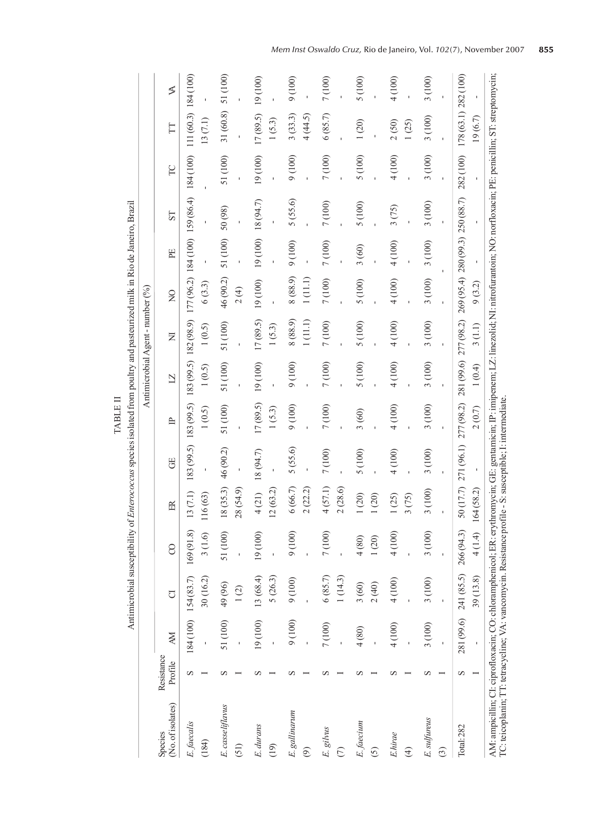| I | ļ<br>ĺ<br>Î<br>$\ddot{\ddot{\cdot}}$<br>ļ<br>l |  |
|---|------------------------------------------------|--|
|---|------------------------------------------------|--|

|                                                                                                                                                                                                                                                                                                         |                       |                |                                               |                    |                         |            |                     | Antimicrobial Agent-number (%)                                                                      |                     |                                            |          |                    |           |                                  |          |
|---------------------------------------------------------------------------------------------------------------------------------------------------------------------------------------------------------------------------------------------------------------------------------------------------------|-----------------------|----------------|-----------------------------------------------|--------------------|-------------------------|------------|---------------------|-----------------------------------------------------------------------------------------------------|---------------------|--------------------------------------------|----------|--------------------|-----------|----------------------------------|----------|
| (No. of isolates)<br>Species                                                                                                                                                                                                                                                                            | Resistance<br>Profile | ЖÅ             | đ                                             | 8                  | 臣                       | 8          | $\equiv$            | $\overline{2}$                                                                                      | Σ                   | $\trianglerighteq$                         | EE       | <b>ST</b>          | PC        | H                                | ≸        |
| E. faecalis<br>(184)                                                                                                                                                                                                                                                                                    | S                     |                | 30 (16.2)<br>184 (100) 154 (83.7)             | 169(91.8<br>3(1.6) | 13(7.1)<br>116(63)      |            | 1(0.5)              | $183 (99.5)$ $183 (99.5)$ $183 (99.5)$ $182 (98.9)$ $177 (96.2)$ $184 (100)$ $159 (86.4)$<br>1(0.5) | 1(0.5)              | 6(3.3)                                     |          |                    | 184 (100) | 111 (60.3) 184 (100)<br>13 (7.1) |          |
| E. casseliflavus<br>(51)                                                                                                                                                                                                                                                                                | S                     | 51 (100)       | 49 (96)<br>1(2)                               | 51 (100)           | 18(35.3)<br>28 (54.9)   | 46 (90.2)  | 51 (100)            | 51 (100)                                                                                            | 51 (100)            | 46 (90.2)<br>2(4)                          | 51 (100) | 50 (98)            | 51 (100)  | 31 (60.8)                        | 51 (100) |
| E. durans<br>(19)                                                                                                                                                                                                                                                                                       |                       | 19(100)        | 13 (68.4)<br>5 (26.3)                         | 19 (100)           | 12(63.2)<br>4(21)       | 18 (94.7)  | 17 (89.5)<br>1(5.3) | 19 (100)                                                                                            | 17(89.5)<br>1(5.3)  | 19(100)                                    |          | $19(100)$ 18(94.7) | 19(100)   | 17(89.5)<br>1(5.3)               | 19(100)  |
| E. gallinarum<br>$\widehat{\mathfrak{G}}$                                                                                                                                                                                                                                                               |                       | 9(100)         | 9(100)                                        | 9(100)             | 6(66.7)<br>2(22.2)      | 5(55.6)    | 9(100)              | 9(100)                                                                                              | 8 (88.9)<br>1(11.1) | 8 (88.9)<br>1(11.1)                        | 9(100)   | 5(55.6)            | 9(100)    | 3(33.3)<br>4 (44.5)              | 9(100)   |
| E. gilvus<br>$\in$                                                                                                                                                                                                                                                                                      |                       | 7 (100)        | 6(85.7)<br>1(14.3)                            | 7(100)             | 4(57.1)<br>2(28.6)      | 7 (100)    | 7 (100)             | 7(100)                                                                                              | 7(100)              | 7 (100)                                    | 7 (100)  | 7 (100)            | 7 (100)   | 6(85.7)                          | 7 (100)  |
| E. faecium<br>$\widehat{S}$                                                                                                                                                                                                                                                                             |                       | 4 (80)         | 3(60)<br>2(40)                                | 4(80)<br>1(20)     | (20)<br>(20)            | 5 (100)    | 3(60)               | 5 (100)                                                                                             | 5 (100)             | 5 (100)                                    | 3(60)    | 5 (100)            | 5 (100)   | 1(20)                            | 5 (100)  |
| E.hirae<br>$\widehat{\mathfrak{t}}$                                                                                                                                                                                                                                                                     |                       | 4 (100)        | 4(100)                                        | 4(100)             | (25)<br>3(75)           | 4 (100)    | 4 (100)             | 4 (100)                                                                                             | 4 (100)             | 4 (100)                                    | 4 (100)  | 3(75)              | 4 (100)   | 2(50)<br>1(25)                   | 4 (100)  |
| E. sulfureus<br>ි                                                                                                                                                                                                                                                                                       |                       | 3 (100)        | 3 (100)                                       | 3(100)             | 3 (100)                 | 3 (100)    | 3(100)              | 3 (100)                                                                                             | 3 (100)             | 3(100)                                     | 3 (100)  | 3 (100)            | 3(100)    | 3(100)                           | 3 (100)  |
| Total: 282                                                                                                                                                                                                                                                                                              | S                     | $\overline{1}$ | 281 (99.6) 241 (85.5) 266 (94.3)<br>39 (13.8) | 4 (1.4)            | 50 (17.7)<br>164 (58.2) | 271 (96.1) | 277(98.2)<br>2(0.7) | 281 (99.6) 277 (98.2)<br>1(0.4)                                                                     | 3(1.1)              | 269 (95.4) 280 (99.3) 250 (88.7)<br>9(3.2) |          |                    | 282 (100) | 178 (63.1) 282 (100)<br>19(6.7)  |          |
| AM: ampicillin; CI: ciprofloxacin; CO: chloramphenicol; ER: erythromycin; GE: gentamicin; IP: imipenem; LZ: linezolid; NI: nirofurantoin; NO: norfloxacin; PE: penicillin; ST: streptomycin;<br>TC: teicoplanin; TT: tetracycline; VA: vancomycin. Resistance profile - S: susceptible; I: intermediate |                       |                |                                               |                    |                         |            |                     |                                                                                                     |                     |                                            |          |                    |           |                                  |          |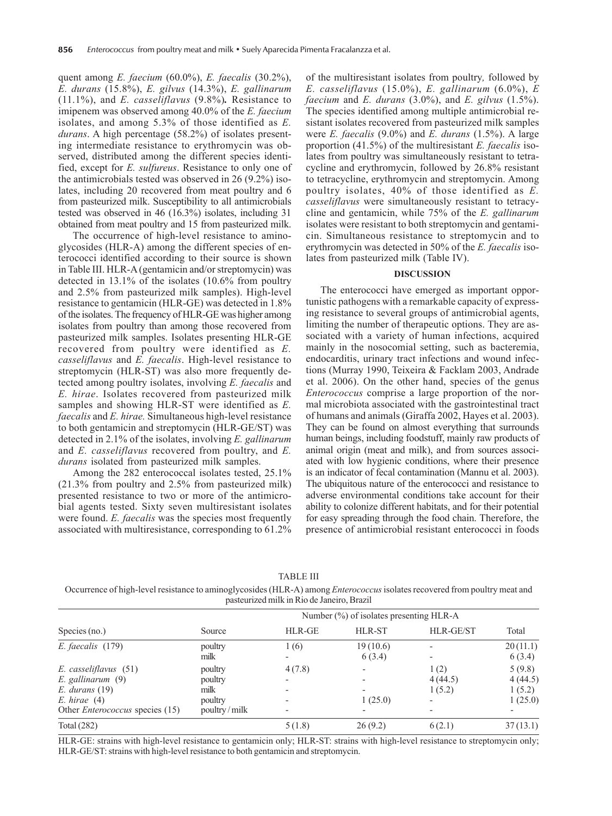quent among *E. faecium* (60.0%), *E. faecalis* (30.2%), *E. durans* (15.8%), *E. gilvus* (14.3%), *E. gallinarum* (11.1%), and *E. casseliflavus* (9.8%)*.* Resistance to imipenem was observed among 40.0% of the *E. faecium* isolates, and among 5.3% of those identified as *E. durans*. A high percentage (58.2%) of isolates presenting intermediate resistance to erythromycin was observed, distributed among the different species identified, except for *E. sulfureus*. Resistance to only one of the antimicrobials tested was observed in 26 (9.2%) isolates, including 20 recovered from meat poultry and 6 from pasteurized milk. Susceptibility to all antimicrobials tested was observed in 46 (16.3%) isolates, including 31 obtained from meat poultry and 15 from pasteurized milk.

The occurrence of high-level resistance to aminoglycosides (HLR-A) among the different species of enterococci identified according to their source is shown in Table III. HLR-A (gentamicin and/or streptomycin) was detected in 13.1% of the isolates (10.6% from poultry and 2.5% from pasteurized milk samples). High-level resistance to gentamicin (HLR-GE) was detected in 1.8% of the isolates. The frequency of HLR-GE was higher among isolates from poultry than among those recovered from pasteurized milk samples. Isolates presenting HLR-GE recovered from poultry were identified as *E. casseliflavus* and *E. faecalis*. High-level resistance to streptomycin (HLR-ST) was also more frequently detected among poultry isolates, involving *E. faecalis* and *E. hirae*. Isolates recovered from pasteurized milk samples and showing HLR-ST were identified as *E. faecalis* and *E. hirae.* Simultaneous high-level resistance to both gentamicin and streptomycin (HLR-GE/ST) was detected in 2.1% of the isolates, involving *E. gallinarum* and *E. casseliflavus* recovered from poultry, and *E. durans* isolated from pasteurized milk samples.

Among the 282 enterococcal isolates tested, 25.1% (21.3% from poultry and 2.5% from pasteurized milk) presented resistance to two or more of the antimicrobial agents tested. Sixty seven multiresistant isolates were found. *E. faecalis* was the species most frequently associated with multiresistance, corresponding to 61.2%

of the multiresistant isolates from poultry*,* followed by *E. casseliflavus* (15.0%), *E. gallinarum* (6.0%), *E faecium* and *E. durans* (3.0%), and *E. gilvus* (1.5%). The species identified among multiple antimicrobial resistant isolates recovered from pasteurized milk samples were *E. faecalis* (9.0%) and *E. durans* (1.5%). A large proportion (41.5%) of the multiresistant *E. faecalis* isolates from poultry was simultaneously resistant to tetracycline and erythromycin, followed by 26.8% resistant to tetracycline, erythromycin and streptomycin. Among poultry isolates, 40% of those identified as *E. casseliflavus* were simultaneously resistant to tetracycline and gentamicin, while 75% of the *E. gallinarum* isolates were resistant to both streptomycin and gentamicin. Simultaneous resistance to streptomycin and to erythromycin was detected in 50% of the *E. faecalis* isolates from pasteurized milk (Table IV).

#### **DISCUSSION**

The enterococci have emerged as important opportunistic pathogens with a remarkable capacity of expressing resistance to several groups of antimicrobial agents, limiting the number of therapeutic options. They are associated with a variety of human infections, acquired mainly in the nosocomial setting, such as bacteremia, endocarditis, urinary tract infections and wound infections (Murray 1990, Teixeira & Facklam 2003, Andrade et al. 2006). On the other hand, species of the genus *Enterococcus* comprise a large proportion of the normal microbiota associated with the gastrointestinal tract of humans and animals (Giraffa 2002, Hayes et al. 2003). They can be found on almost everything that surrounds human beings, including foodstuff, mainly raw products of animal origin (meat and milk), and from sources associated with low hygienic conditions, where their presence is an indicator of fecal contamination (Mannu et al. 2003). The ubiquitous nature of the enterococci and resistance to adverse environmental conditions take account for their ability to colonize different habitats, and for their potential for easy spreading through the food chain. Therefore, the presence of antimicrobial resistant enterococci in foods

| <b>TABLE III</b>           |
|----------------------------|
| $L$ II D $\Lambda$ ) amang |

Occurrence of high-level resistance to aminoglycosides (HLR-A) among *Enterococcus* isolates recovered from poultry meat and pasteurized milk in Rio de Janeiro, Brazil

|                                                                                                                                | Number $(\%)$ of isolates presenting HLR-A            |        |                                     |                                                       |                                        |  |  |  |  |
|--------------------------------------------------------------------------------------------------------------------------------|-------------------------------------------------------|--------|-------------------------------------|-------------------------------------------------------|----------------------------------------|--|--|--|--|
| Species $(no.)$                                                                                                                | Source                                                | HLR-GE | <b>HLR-ST</b>                       | <b>HLR-GE/ST</b>                                      | Total                                  |  |  |  |  |
| $E.$ faecalis $(179)$                                                                                                          | poultry<br>milk                                       | 1 (6)  | 19(10.6)<br>6(3.4)                  |                                                       | 20(11.1)<br>6(3.4)                     |  |  |  |  |
| E. casseliflavus (51)<br>$E.$ gallinarum $(9)$<br>$E.$ durans $(19)$<br>E. hirae (4)<br>Other <i>Enterococcus</i> species (15) | poultry<br>poultry<br>milk<br>poultry<br>poultry/milk | 4(7.8) | 1(25.0)<br>$\overline{\phantom{0}}$ | 1(2)<br>4(44.5)<br>1(5.2)<br>$\overline{\phantom{0}}$ | 5(9.8)<br>4(44.5)<br>1(5.2)<br>1(25.0) |  |  |  |  |
| Total $(282)$                                                                                                                  |                                                       | 5(1.8) | 26(9.2)                             | 6(2.1)                                                | 37(13.1)                               |  |  |  |  |

HLR-GE: strains with high-level resistance to gentamicin only; HLR-ST: strains with high-level resistance to streptomycin only; HLR-GE/ST: strains with high-level resistance to both gentamicin and streptomycin.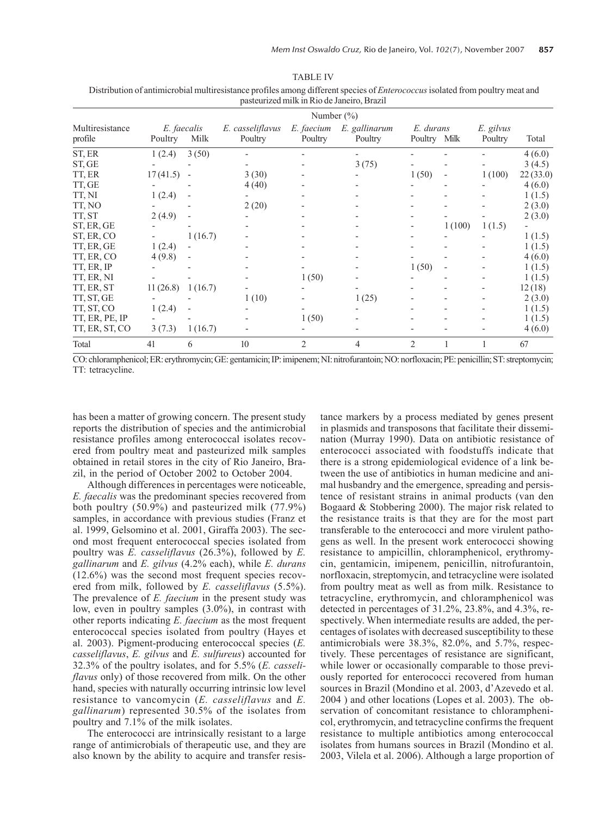TABLE IV Distribution of antimicrobial multiresistance profiles among different species of *Enterococcus* isolated from poultry meat and pasteurized milk in Rio de Janeiro, Brazil

|                            |                        |                |                             | Number (%)            |                          |                           |                          |                      |          |
|----------------------------|------------------------|----------------|-----------------------------|-----------------------|--------------------------|---------------------------|--------------------------|----------------------|----------|
| Multiresistance<br>profile | E. faecalis<br>Poultry | Milk           | E. casseliflavus<br>Poultry | E. faecium<br>Poultry | E. gallinarum<br>Poultry | E. durans<br>Poultry Milk |                          | E. gilvus<br>Poultry | Total    |
| ST, ER                     | 1(2.4)                 | 3(50)          |                             |                       |                          |                           |                          |                      | 4(6.0)   |
| ST, GE                     |                        |                |                             |                       | 3(75)                    |                           |                          |                      | 3(4.5)   |
| TT, ER                     | 17(41.5)               | $\blacksquare$ | 3(30)                       |                       |                          | 1(50)                     | $\overline{\phantom{0}}$ | 1(100)               | 22(33.0) |
| TT, GE                     |                        |                | 4(40)                       |                       |                          |                           |                          |                      | 4(6.0)   |
| TT, NI                     | 1(2.4)                 |                |                             |                       |                          |                           |                          |                      | 1(1.5)   |
| TT, NO                     |                        |                | 2(20)                       |                       |                          |                           |                          |                      | 2(3.0)   |
| TT, ST                     | 2(4.9)                 |                |                             |                       |                          |                           |                          |                      | 2(3.0)   |
| ST, ER, GE                 |                        |                |                             |                       |                          |                           | 1(100)                   | 1(1.5)               |          |
| ST, ER, CO                 |                        | 1(16.7)        |                             |                       |                          |                           |                          |                      | 1(1.5)   |
| TT, ER, GE                 | 1(2.4)                 |                |                             |                       |                          |                           |                          |                      | 1(1.5)   |
| TT, ER, CO                 | 4(9.8)                 | $\blacksquare$ |                             |                       |                          |                           |                          |                      | 4(6.0)   |
| TT, ER, IP                 |                        |                |                             |                       |                          | 1(50)                     |                          |                      | 1(1.5)   |
| TT, ER, NI                 |                        |                |                             | 1(50)                 |                          |                           |                          |                      | 1(1.5)   |
| TT, ER, ST                 | 11(26.8)               | 1(16.7)        |                             |                       |                          |                           |                          |                      | 12(18)   |
| TT, ST, GE                 |                        |                | 1(10)                       |                       | 1(25)                    |                           |                          |                      | 2(3.0)   |
| TT, ST, CO                 | 1(2.4)                 |                |                             |                       |                          |                           |                          |                      | 1(1.5)   |
| TT, ER, PE, IP             |                        |                |                             | 1(50)                 |                          |                           |                          |                      | 1(1.5)   |
| TT, ER, ST, CO             | 3(7.3)                 | 1(16.7)        |                             |                       |                          |                           |                          |                      | 4(6.0)   |
| Total                      | 41                     | 6              | 10                          | $\overline{2}$        | 4                        | $\overline{2}$            |                          |                      | 67       |

CO: chloramphenicol; ER: erythromycin; GE: gentamicin; IP: imipenem; NI: nitrofurantoin; NO: norfloxacin; PE: penicillin; ST: streptomycin; TT: tetracycline.

has been a matter of growing concern. The present study reports the distribution of species and the antimicrobial resistance profiles among enterococcal isolates recovered from poultry meat and pasteurized milk samples obtained in retail stores in the city of Rio Janeiro, Brazil, in the period of October 2002 to October 2004.

Although differences in percentages were noticeable, *E. faecalis* was the predominant species recovered from both poultry (50.9%) and pasteurized milk (77.9%) samples, in accordance with previous studies (Franz et al. 1999, Gelsomino et al. 2001, Giraffa 2003). The second most frequent enterococcal species isolated from poultry was *E. casseliflavus* (26.3%), followed by *E. gallinarum* and *E. gilvus* (4.2% each), while *E. durans* (12.6%) was the second most frequent species recovered from milk, followed by *E. casseliflavus* (5.5%). The prevalence of *E. faecium* in the present study was low, even in poultry samples (3.0%), in contrast with other reports indicating *E. faecium* as the most frequent enterococcal species isolated from poultry (Hayes et al. 2003). Pigment-producing enterococcal species (*E. casseliflavus*, *E. gilvus* and *E. sulfureus*) accounted for 32.3% of the poultry isolates, and for 5.5% (*E. casseliflavus* only) of those recovered from milk. On the other hand, species with naturally occurring intrinsic low level resistance to vancomycin (*E. casseliflavus* and *E. gallinarum*) represented 30.5% of the isolates from poultry and 7.1% of the milk isolates.

The enterococci are intrinsically resistant to a large range of antimicrobials of therapeutic use, and they are also known by the ability to acquire and transfer resistance markers by a process mediated by genes present in plasmids and transposons that facilitate their dissemination (Murray 1990). Data on antibiotic resistance of enterococci associated with foodstuffs indicate that there is a strong epidemiological evidence of a link between the use of antibiotics in human medicine and animal husbandry and the emergence, spreading and persistence of resistant strains in animal products (van den Bogaard & Stobbering 2000). The major risk related to the resistance traits is that they are for the most part transferable to the enterococci and more virulent pathogens as well. In the present work enterococci showing resistance to ampicillin, chloramphenicol, erythromycin, gentamicin, imipenem, penicillin, nitrofurantoin, norfloxacin, streptomycin, and tetracycline were isolated from poultry meat as well as from milk. Resistance to tetracycline, erythromycin, and chloramphenicol was detected in percentages of 31.2%, 23.8%, and 4.3%, respectively. When intermediate results are added, the percentages of isolates with decreased susceptibility to these antimicrobials were 38.3%, 82.0%, and 5.7%, respectively. These percentages of resistance are significant, while lower or occasionally comparable to those previously reported for enterococci recovered from human sources in Brazil (Mondino et al. 2003, d'Azevedo et al. 2004 ) and other locations (Lopes et al. 2003). The observation of concomitant resistance to chloramphenicol, erythromycin, and tetracycline confirms the frequent resistance to multiple antibiotics among enterococcal isolates from humans sources in Brazil (Mondino et al. 2003, Vilela et al. 2006). Although a large proportion of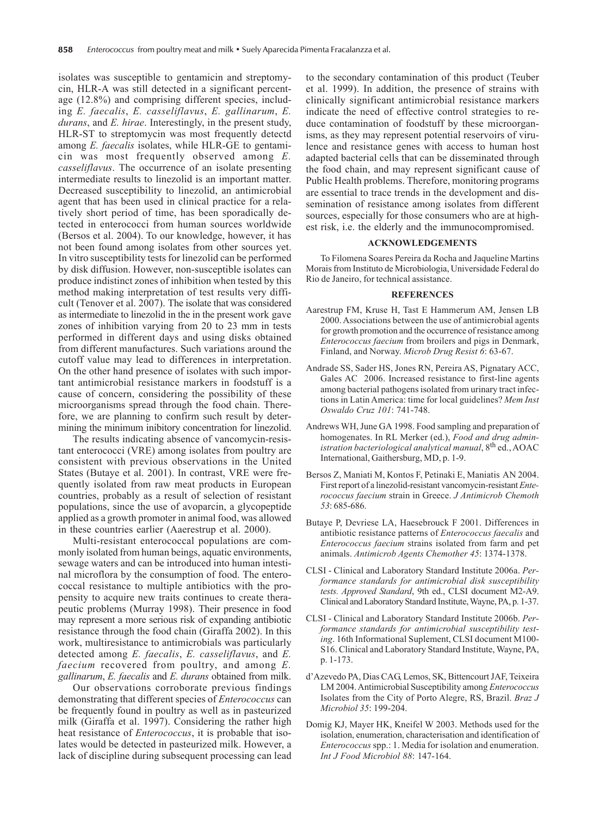isolates was susceptible to gentamicin and streptomycin, HLR-A was still detected in a significant percentage (12.8%) and comprising different species, including *E. faecalis*, *E. casseliflavus*, *E. gallinarum*, *E. durans*, and *E. hirae*. Interestingly, in the present study, HLR-ST to streptomycin was most frequently detectd among *E. faecalis* isolates, while HLR-GE to gentamicin was most frequently observed among *E. casseliflavus*. The occurrence of an isolate presenting intermediate results to linezolid is an important matter. Decreased susceptibility to linezolid, an antimicrobial agent that has been used in clinical practice for a relatively short period of time, has been sporadically detected in enterococci from human sources worldwide (Bersos et al. 2004). To our knowledge, however, it has not been found among isolates from other sources yet. In vitro susceptibility tests for linezolid can be performed by disk diffusion. However, non-susceptible isolates can produce indistinct zones of inhibition when tested by this method making interpretation of test results very difficult (Tenover et al. 2007). The isolate that was considered as intermediate to linezolid in the in the present work gave zones of inhibition varying from 20 to 23 mm in tests performed in different days and using disks obtained from different manufactures. Such variations around the cutoff value may lead to differences in interpretation. On the other hand presence of isolates with such important antimicrobial resistance markers in foodstuff is a cause of concern, considering the possibility of these microorganisms spread through the food chain. Therefore, we are planning to confirm such result by determining the minimum inibitory concentration for linezolid.

The results indicating absence of vancomycin-resistant enterococci (VRE) among isolates from poultry are consistent with previous observations in the United States (Butaye et al. 2001). In contrast, VRE were frequently isolated from raw meat products in European countries, probably as a result of selection of resistant populations, since the use of avoparcin, a glycopeptide applied as a growth promoter in animal food, was allowed in these countries earlier (Aaerestrup et al. 2000).

Multi-resistant enterococcal populations are commonly isolated from human beings, aquatic environments, sewage waters and can be introduced into human intestinal microflora by the consumption of food. The enterococcal resistance to multiple antibiotics with the propensity to acquire new traits continues to create therapeutic problems (Murray 1998). Their presence in food may represent a more serious risk of expanding antibiotic resistance through the food chain (Giraffa 2002). In this work, multiresistance to antimicrobials was particularly detected among *E. faecalis*, *E. casseliflavus*, and *E. faecium* recovered from poultry, and among *E. gallinarum*, *E. faecalis* and *E. durans* obtained from milk.

Our observations corroborate previous findings demonstrating that different species of *Enterococcus* can be frequently found in poultry as well as in pasteurized milk (Giraffa et al. 1997). Considering the rather high heat resistance of *Enterococcus*, it is probable that isolates would be detected in pasteurized milk. However, a lack of discipline during subsequent processing can lead

to the secondary contamination of this product (Teuber et al. 1999). In addition, the presence of strains with clinically significant antimicrobial resistance markers indicate the need of effective control strategies to reduce contamination of foodstuff by these microorganisms, as they may represent potential reservoirs of virulence and resistance genes with access to human host adapted bacterial cells that can be disseminated through the food chain, and may represent significant cause of Public Health problems. Therefore, monitoring programs are essential to trace trends in the development and dissemination of resistance among isolates from different sources, especially for those consumers who are at highest risk, i.e. the elderly and the immunocompromised.

#### **ACKNOWLEDGEMENTS**

To Filomena Soares Pereira da Rocha and Jaqueline Martins Morais from Instituto de Microbiologia, Universidade Federal do Rio de Janeiro, for technical assistance.

## **REFERENCES**

- Aarestrup FM, Kruse H, Tast E Hammerum AM, Jensen LB 2000. Associations between the use of antimicrobial agents for growth promotion and the occurrence of resistance among *Enterococcus faecium* from broilers and pigs in Denmark, Finland, and Norway. *Microb Drug Resist 6*: 63-67.
- Andrade SS, Sader HS, Jones RN, Pereira AS, Pignatary ACC, Gales AC 2006. Increased resistance to first-line agents among bacterial pathogens isolated from urinary tract infections in Latin America: time for local guidelines? *Mem Inst Oswaldo Cruz 101*: 741-748.
- Andrews WH, June GA 1998. Food sampling and preparation of homogenates. In RL Merker (ed.), *Food and drug administration bacteriological analytical manual*, 8th ed., AOAC International, Gaithersburg, MD, p. 1-9.
- Bersos Z, Maniati M, Kontos F, Petinaki E, Maniatis AN 2004. First report of a linezolid-resistant vancomycin-resistant *Enterococcus faecium* strain in Greece. *J Antimicrob Chemoth 53*: 685-686.
- Butaye P, Devriese LA, Haesebrouck F 2001. Differences in antibiotic resistance patterns of *Enterococcus faecalis* and *Enterococcus faecium* strains isolated from farm and pet animals. *Antimicrob Agents Chemother 45*: 1374-1378.
- CLSI Clinical and Laboratory Standard Institute 2006a. *Performance standards for antimicrobial disk susceptibility tests. Approved Standard*, 9th ed., CLSI document M2-A9. Clinical and Laboratory Standard Institute, Wayne, PA, p. 1-37.
- CLSI Clinical and Laboratory Standard Institute 2006b. *Performance standards for antimicrobial susceptibility testing*. 16th Informational Suplement, CLSI document M100- S16. Clinical and Laboratory Standard Institute, Wayne, PA, p. 1-173.
- d'Azevedo PA, Dias CAG, Lemos, SK, Bittencourt JAF, Teixeira LM 2004. Antimicrobial Susceptibility among *Enterococcus* Isolates from the City of Porto Alegre, RS, Brazil. *Braz J Microbiol 35*: 199-204.
- Domig KJ, Mayer HK, Kneifel W 2003. Methods used for the isolation, enumeration, characterisation and identification of *Enterococcus* spp.: 1. Media for isolation and enumeration. *Int J Food Microbiol 88*: 147-164.